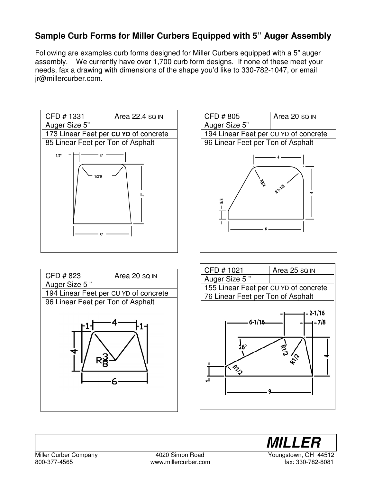## **Sample Curb Forms for Miller Curbers Equipped with 5" Auger Assembly**

Following are examples curb forms designed for Miller Curbers equipped with a 5" auger assembly. We currently have over 1,700 curb form designs. If none of these meet your needs, fax a drawing with dimensions of the shape you'd like to 330-782-1047, or email jr@millercurber.com.











800-377-4565 www.millercurber.com fax: 330-782-8081